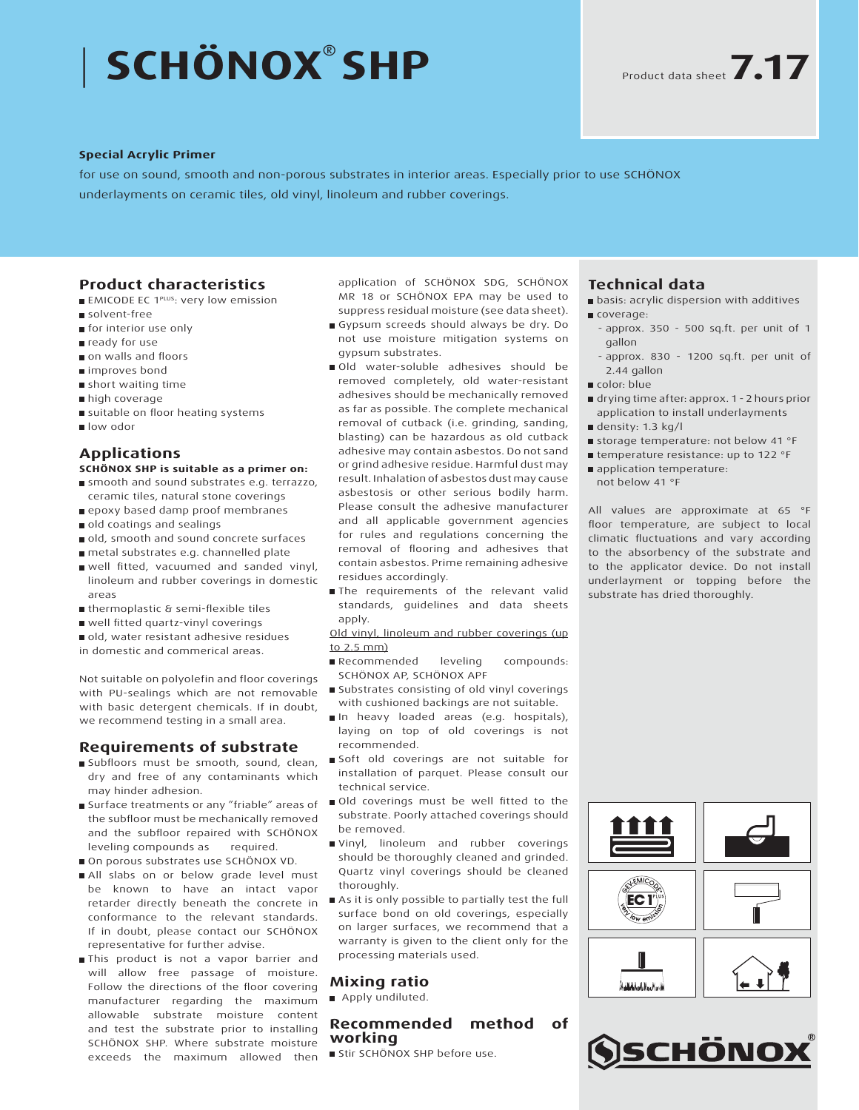# | **SCHÖNOX® SHP**

#### **Special Acrylic Primer**

for use on sound, smooth and non-porous substrates in interior areas. Especially prior to use SCHÖNOX underlayments on ceramic tiles, old vinyl, linoleum and rubber coverings.

### **Product characteristics**

- **EMICODE EC 1PLUS: very low emission**
- solvent-free
- **n** for interior use only
- ready for use
- on walls and floors
- improves bond
- short waiting time
- high coverage
- suitable on floor heating systems
- low odor

# **Applications**

#### **SCHÖNOX SHP is suitable as a primer on:**

- smooth and sound substrates e.g. terrazzo, ceramic tiles, natural stone coverings
- epoxy based damp proof membranes
- old coatings and sealings
- old, smooth and sound concrete surfaces
- metal substrates e.g. channelled plate
- well fitted, vacuumed and sanded vinyl, linoleum and rubber coverings in domestic areas
- thermoplastic & semi-flexible tiles
- well fitted quartz-vinyl coverings
- old, water resistant adhesive residues
- in domestic and commerical areas.

Not suitable on polyolefin and floor coverings with PU-sealings which are not removable with basic detergent chemicals. If in doubt, we recommend testing in a small area.

## **Requirements of substrate**

- Subfloors must be smooth, sound, clean, dry and free of any contaminants which may hinder adhesion.
- Surface treatments or any "friable" areas of the subfloor must be mechanically removed and the subfloor repaired with SCHÖNOX leveling compounds as required.
- On porous substrates use SCHÖNOX VD.
- All slabs on or below grade level must be known to have an intact vapor retarder directly beneath the concrete in conformance to the relevant standards. If in doubt, please contact our SCHÖNOX representative for further advise.
- This product is not a vapor barrier and will allow free passage of moisture. Follow the directions of the floor covering manufacturer regarding the maximum allowable substrate moisture content and test the substrate prior to installing SCHÖNOX SHP. Where substrate moisture exceeds the maximum allowed then

application of SCHÖNOX SDG, SCHÖNOX MR 18 or SCHÖNOX EPA may be used to suppress residual moisture (see data sheet).

- Gypsum screeds should always be dry. Do not use moisture mitigation systems on gypsum substrates.
- Old water-soluble adhesives should be removed completely, old water-resistant adhesives should be mechanically removed as far as possible. The complete mechanical removal of cutback (i.e. grinding, sanding, blasting) can be hazardous as old cutback adhesive may contain asbestos. Do not sand or grind adhesive residue. Harmful dust may result. Inhalation of asbestos dust may cause asbestosis or other serious bodily harm. Please consult the adhesive manufacturer and all applicable government agencies for rules and regulations concerning the removal of flooring and adhesives that contain asbestos. Prime remaining adhesive residues accordingly.
- The requirements of the relevant valid standards, guidelines and data sheets apply.

Old vinyl, linoleum and rubber coverings (up to 2.5 mm)

- Recommended leveling compounds: SCHÖNOX AP, SCHÖNOX APF
- **Substrates consisting of old vinyl coverings** with cushioned backings are not suitable.
- In heavy loaded areas (e.g. hospitals), laying on top of old coverings is not recommended.
- Soft old coverings are not suitable for installation of parquet. Please consult our technical service.
- Old coverings must be well fitted to the substrate. Poorly attached coverings should be removed.
- Vinyl, linoleum and rubber coverings should be thoroughly cleaned and grinded. Quartz vinyl coverings should be cleaned thoroughly.
- As it is only possible to partially test the full surface bond on old coverings, especially on larger surfaces, we recommend that a warranty is given to the client only for the processing materials used.

#### **Mixing ratio**

Apply undiluted.

#### **Recommended method of working**

Stir SCHÖNOX SHP before use.

# **Technical data**

- **B** basis: acrylic dispersion with additives coverage:
	- approx. 350 500 sq.ft. per unit of 1 gallon
	- approx. 830 1200 sq.ft. per unit of 2.44 gallon
- color: blue
- drying time after: approx. 1 2 hours prior application to install underlayments
- density: 1.3 kg/l
- storage temperature: not below 41 °F
- temperature resistance: up to 122 °F
- application temperature: not below 41 °F

All values are approximate at 65 °F floor temperature, are subject to local climatic fluctuations and vary according to the absorbency of the substrate and to the applicator device. Do not install underlayment or topping before the substrate has dried thoroughly.